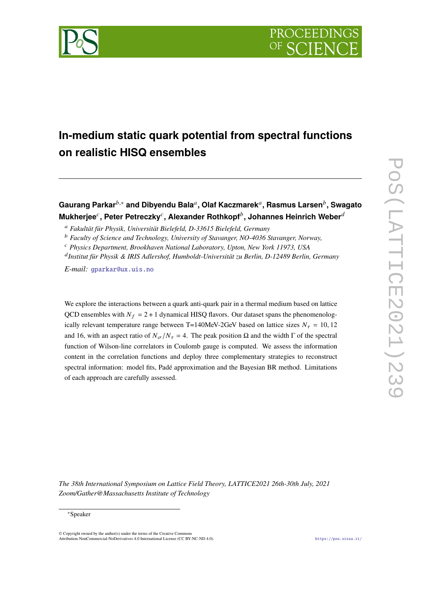



# **In-medium static quark potential from spectral functions on realistic HISQ ensembles**

# **Gaurang Parkar**𝑏,<sup>∗</sup> **and Dibyendu Bala**<sup>𝑎</sup> **, Olaf Kaczmarek**<sup>𝑎</sup> **, Rasmus Larsen**<sup>𝑏</sup> **, Swagato**  $\bm{\mathsf{M}}$ ukherjee $^c$ , Peter Petreczky $^c$ , Alexander Rothkopf $^b$ , Johannes Heinrich Weber $^d$

<sup>𝑎</sup> *Fakultät für Physik, Universität Bielefeld, D-33615 Bielefeld, Germany*

<sup>*b*</sup> *Faculty of Science and Technology, University of Stavanger, NO-4036 Stavanger, Norway,* 

<sup>𝑐</sup> *Physics Department, Brookhaven National Laboratory, Upton, New York 11973, USA*

<sup>d</sup> Institut für Physik & IRIS Adlershof, Humboldt-Universität zu Berlin, D-12489 Berlin, Germany

*E-mail:* [gparkar@ux.uis.no](mailto:gparkar@ux.uis.no)

We explore the interactions between a quark anti-quark pair in a thermal medium based on lattice QCD ensembles with  $N_f = 2 + 1$  dynamical HISQ flavors. Our dataset spans the phenomenologically relevant temperature range between T=140MeV-2GeV based on lattice sizes  $N_{\tau} = 10, 12$ and 16, with an aspect ratio of  $N_{\sigma}/N_{\tau} = 4$ . The peak position  $\Omega$  and the width  $\Gamma$  of the spectral function of Wilson-line correlators in Coulomb gauge is computed. We assess the information content in the correlation functions and deploy three complementary strategies to reconstruct spectral information: model fits, Padé approximation and the Bayesian BR method. Limitations of each approach are carefully assessed.

*The 38th International Symposium on Lattice Field Theory, LATTICE2021 26th-30th July, 2021 Zoom/Gather@Massachusetts Institute of Technology*

 $\odot$  Copyright owned by the author(s) under the terms of the Creative Common Attribution-NonCommercial-NoDerivatives 4.0 International License (CC BY-NC-ND 4.0). <https://pos.sissa.it/>

<sup>∗</sup>Speaker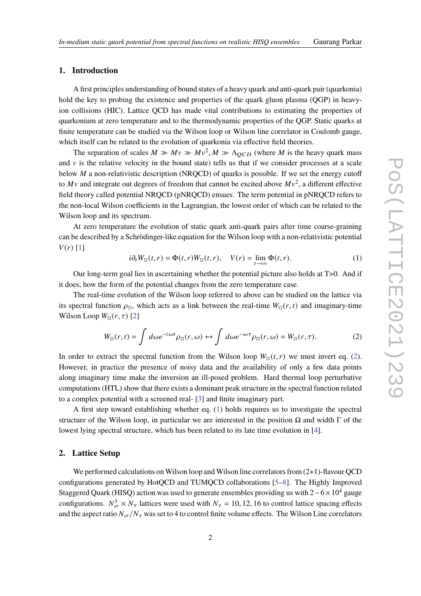## **1. Introduction**

A first principles understanding of bound states of a heavy quark and anti-quark pair (quarkonia) hold the key to probing the existence and properties of the quark gluon plasma (QGP) in heavyion collisions (HIC). Lattice QCD has made vital contributions to estimating the properties of quarkonium at zero temperature and to the thermodynamic properties of the QGP. Static quarks at finite temperature can be studied via the Wilson loop or Wilson line correlator in Coulomb gauge, which itself can be related to the evolution of quarkonia via effective field theories.

The separation of scales  $M \gg Mv \gg Mv^2$ ,  $M \gg \Lambda_{QCD}$  (where M is the heavy quark mass and  $\nu$  is the relative velocity in the bound state) tells us that if we consider processes at a scale below  $M$  a non-relativistic description (NRQCD) of quarks is possible. If we set the energy cutoff to  $Mv$  and integrate out degrees of freedom that cannot be excited above  $Mv^2$ , a different effective field theory called potential NRQCD (pNRQCD) ensues. The term potential in pNRQCD refers to the non-local Wilson coefficients in the Lagrangian, the lowest order of which can be related to the Wilson loop and its spectrum.

At zero temperature the evolution of static quark anti-quark pairs after time coarse-graining can be described by a Schrödinger-like equation for the Wilson loop with a non-relativistic potential  $V(r)$  [\[1\]](#page-7-0)

<span id="page-1-1"></span>
$$
i\partial_t W_{\square}(t,r) = \Phi(t,r)W_{\square}(t,r), \quad V(r) = \lim_{t \to \infty} \Phi(t,r).
$$
 (1)

Our long-term goal lies in ascertaining whether the potential picture also holds at T>0. And if it does, how the form of the potential changes from the zero temperature case.

The real-time evolution of the Wilson loop referred to above can be studied on the lattice via its spectral function  $\rho_{\Box}$ , which acts as a link between the real-time  $W_{\Box}(r, t)$  and imaginary-time Wilson Loop  $W_{\square}(r, \tau)$  [\[2\]](#page-7-1)

<span id="page-1-0"></span>
$$
W_{\Box}(r,t) = \int d\omega e^{-i\omega t} \rho_{\Box}(r,\omega) \leftrightarrow \int d\omega e^{-\omega \tau} \rho_{\Box}(r,\omega) = W_{\Box}(r,\tau). \tag{2}
$$

In order to extract the spectral function from the Wilson loop  $W_{\Pi}(t, r)$  we must invert eq. [\(2\)](#page-1-0). However, in practice the presence of noisy data and the availability of only a few data points along imaginary time make the inversion an ill-posed problem. Hard thermal loop perturbative computations (HTL) show that there exists a dominant peak structure in the spectral function related to a complex potential with a screened real- [\[3\]](#page-7-2) and finite imaginary part.

A first step toward establishing whether eq. [\(1\)](#page-1-1) holds requires us to investigate the spectral structure of the Wilson loop, in particular we are interested in the position  $\Omega$  and width  $\Gamma$  of the lowest lying spectral structure, which has been related to its late time evolution in [\[4\]](#page-7-3).

# **2. Lattice Setup**

We performed calculations on Wilson loop and Wilson line correlators from  $(2+1)$ -flavour QCD configurations generated by HotQCD and TUMQCD collaborations [\[5–](#page-8-0)[8\]](#page-8-1). The Highly Improved Staggered Quark (HISQ) action was used to generate ensembles providing us with  $2-6\times10^4$  gauge configurations.  $N_{\sigma}^3 \times N_{\tau}$  lattices were used with  $N_{\tau} = 10, 12, 16$  to control lattice spacing effects and the aspect ratio  $N_{\sigma}/N_{\tau}$  was set to 4 to control finite volume effects. The Wilson Line correlators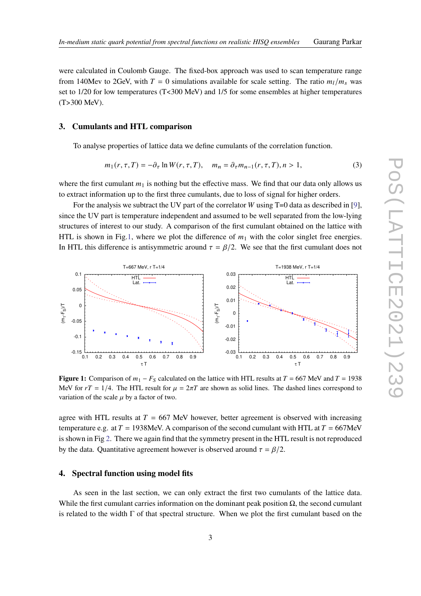were calculated in Coulomb Gauge. The fixed-box approach was used to scan temperature range from 140Mev to 2GeV, with  $T = 0$  simulations available for scale setting. The ratio  $m_l/m_s$  was set to  $1/20$  for low temperatures (T<300 MeV) and  $1/5$  for some ensembles at higher temperatures (T>300 MeV).

#### **3. Cumulants and HTL comparison**

To analyse properties of lattice data we define cumulants of the correlation function.

$$
m_1(r, \tau, T) = -\partial_\tau \ln W(r, \tau, T), \quad m_n = \partial_\tau m_{n-1}(r, \tau, T), n > 1,
$$
\n(3)

where the first cumulant  $m_1$  is nothing but the effective mass. We find that our data only allows us to extract information up to the first three cumulants, due to loss of signal for higher orders.

For the analysis we subtract the UV part of the correlator W using  $T=0$  data as described in [\[9\]](#page-8-2), since the UV part is temperature independent and assumed to be well separated from the low-lying structures of interest to our study. A comparison of the first cumulant obtained on the lattice with HTL is shown in Fig[.1,](#page-2-0) where we plot the difference of  $m_1$  with the color singlet free energies. In HTL this difference is antisymmetric around  $\tau = \beta/2$ . We see that the first cumulant does not

<span id="page-2-0"></span>

**Figure 1:** Comparison of  $m_1 - F_S$  calculated on the lattice with HTL results at  $T = 667$  MeV and  $T = 1938$ MeV for  $rT = 1/4$ . The HTL result for  $\mu = 2\pi T$  are shown as solid lines. The dashed lines correspond to variation of the scale  $\mu$  by a factor of two.

agree with HTL results at  $T = 667$  MeV however, better agreement is observed with increasing temperature e.g. at  $T = 1938$  MeV. A comparison of the second cumulant with HTL at  $T = 667$  MeV is shown in Fig [2.](#page-3-0) There we again find that the symmetry present in the HTL result is not reproduced by the data. Quantitative agreement however is observed around  $\tau = \beta/2$ .

## **4. Spectral function using model fits**

As seen in the last section, we can only extract the first two cumulants of the lattice data. While the first cumulant carries information on the dominant peak position  $\Omega$ , the second cumulant is related to the width  $\Gamma$  of that spectral structure. When we plot the first cumulant based on the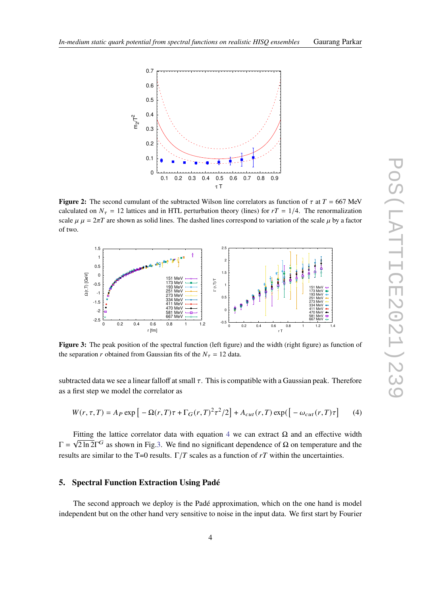<span id="page-3-0"></span>

**Figure 2:** The second cumulant of the subtracted Wilson line correlators as function of  $\tau$  at  $T = 667$  MeV calculated on  $N_{\tau} = 12$  lattices and in HTL perturbation theory (lines) for  $rT = 1/4$ . The renormalization scale  $\mu \mu = 2\pi T$  are shown as solid lines. The dashed lines correspond to variation of the scale  $\mu$  by a factor of two.

<span id="page-3-2"></span>

**Figure 3:** The peak position of the spectral function (left figure) and the width (right figure) as function of the separation r obtained from Gaussian fits of the  $N_{\tau} = 12$  data.

subtracted data we see a linear falloff at small  $\tau$ . This is compatible with a Gaussian peak. Therefore as a first step we model the correlator as

<span id="page-3-1"></span>
$$
W(r,\tau,T) = A_P \exp\left[-\Omega(r,T)\tau + \Gamma_G(r,T)^2\tau^2/2\right] + A_{cut}(r,T)\exp\left(-\omega_{cut}(r,T)\tau\right] \tag{4}
$$

Fitting the lattice correlator data with equation [4](#page-3-1) we can extract  $\Omega$  and an effective width Γ =  $\sqrt{2 \ln 2}$  as shown in Fig[.3.](#page-3-2) We find no significant dependence of Ω on temperature and the results are similar to the T=0 results.  $\Gamma/T$  scales as a function of  $rT$  within the uncertainties.

#### <span id="page-3-3"></span>**5. Spectral Function Extraction Using Padé**

The second approach we deploy is the Padé approximation, which on the one hand is model independent but on the other hand very sensitive to noise in the input data. We first start by Fourier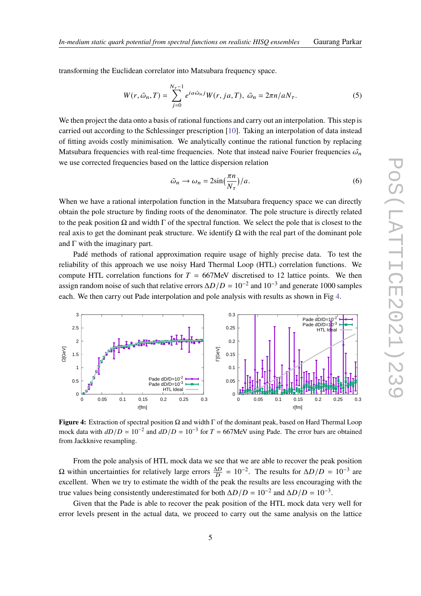transforming the Euclidean correlator into Matsubara frequency space.

$$
W(r, \tilde{\omega}_n, T) = \sum_{j=0}^{N_{\tau}-1} e^{ia\tilde{\omega}_n j} W(r, ja, T), \tilde{\omega}_n = 2\pi n/aN_{\tau}.
$$
 (5)

We then project the data onto a basis of rational functions and carry out an interpolation. This step is carried out according to the Schlessinger prescription [\[10\]](#page-8-3). Taking an interpolation of data instead of fitting avoids costly minimisation. We analytically continue the rational function by replacing Matsubara frequencies with real-time frequencies. Note that instead naive Fourier frequencies  $\hat{\omega}_n$ we use corrected frequencies based on the lattice dispersion relation

$$
\tilde{\omega}_n \to \omega_n = 2\sin\left(\frac{\pi n}{N_\tau}\right)/a. \tag{6}
$$

When we have a rational interpolation function in the Matsubara frequency space we can directly obtain the pole structure by finding roots of the denominator. The pole structure is directly related to the peak position  $\Omega$  and width  $\Gamma$  of the spectral function. We select the pole that is closest to the real axis to get the dominant peak structure. We identify  $\Omega$  with the real part of the dominant pole and  $\Gamma$  with the imaginary part.

Padé methods of rational approximation require usage of highly precise data. To test the reliability of this approach we use noisy Hard Thermal Loop (HTL) correlation functions. We compute HTL correlation functions for  $T = 667$ MeV discretised to 12 lattice points. We then assign random noise of such that relative errors  $\Delta D/D = 10^{-2}$  and  $10^{-3}$  and generate 1000 samples each. We then carry out Pade interpolation and pole analysis with results as shown in Fig [4.](#page-4-0)

<span id="page-4-0"></span>

**Figure 4:** Extraction of spectral position Ω and width Γ of the dominant peak, based on Hard Thermal Loop mock data with  $dD/D = 10^{-2}$  and  $dD/D = 10^{-3}$  for  $T = 667$ MeV using Pade. The error bars are obtained from Jackknive resampling.

From the pole analysis of HTL mock data we see that we are able to recover the peak position  $\Omega$  within uncertainties for relatively large errors  $\frac{\Delta D}{D} = 10^{-2}$ . The results for  $\Delta D/D = 10^{-3}$  are excellent. When we try to estimate the width of the peak the results are less encouraging with the true values being consistently underestimated for both  $\Delta D/D = 10^{-2}$  and  $\Delta D/D = 10^{-3}$ .

Given that the Pade is able to recover the peak position of the HTL mock data very well for error levels present in the actual data, we proceed to carry out the same analysis on the lattice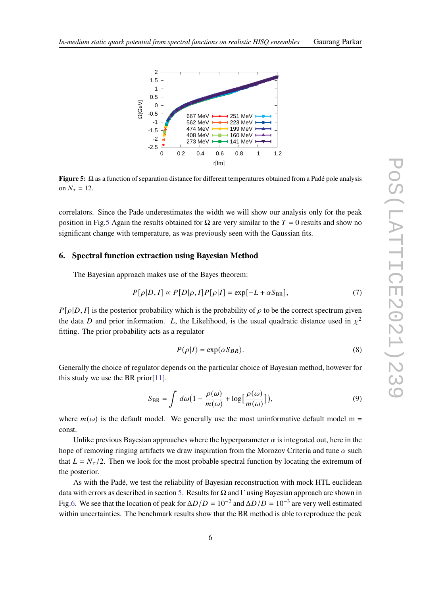<span id="page-5-0"></span>

**Figure 5:** Ω as a function of separation distance for different temperatures obtained from a Padé pole analysis on  $N_{\tau} = 12$ .

correlators. Since the Pade underestimates the width we will show our analysis only for the peak position in Fig[.5](#page-5-0) Again the results obtained for  $\Omega$  are very similar to the  $T = 0$  results and show no significant change with temperature, as was previously seen with the Gaussian fits.

#### **6. Spectral function extraction using Bayesian Method**

The Bayesian approach makes use of the Bayes theorem:

$$
P[\rho|D,I] \propto P[D|\rho,I]P[\rho|I] = \exp[-L + \alpha S_{\text{BR}}],\tag{7}
$$

 $P[\rho|D, I]$  is the posterior probability which is the probability of  $\rho$  to be the correct spectrum given the data D and prior information. L, the Likelihood, is the usual quadratic distance used in  $\chi^2$ fitting. The prior probability acts as a regulator

$$
P(\rho|I) = \exp(\alpha S_{BR}).\tag{8}
$$

Generally the choice of regulator depends on the particular choice of Bayesian method, however for this study we use the BR prior[\[11\]](#page-8-4).

$$
S_{\rm BR} = \int d\omega \big( 1 - \frac{\rho(\omega)}{m(\omega)} + \log \big[ \frac{\rho(\omega)}{m(\omega)} \big] \big),\tag{9}
$$

where  $m(\omega)$  is the default model. We generally use the most uninformative default model m = const.

Unlike previous Bayesian approaches where the hyperparameter  $\alpha$  is integrated out, here in the hope of removing ringing artifacts we draw inspiration from the Morozov Criteria and tune  $\alpha$  such that  $L = N_{\tau}/2$ . Then we look for the most probable spectral function by locating the extremum of the posterior.

As with the Padé, we test the reliability of Bayesian reconstruction with mock HTL euclidean data with errors as described in section [5.](#page-3-3) Results for  $\Omega$  and  $\Gamma$  using Bayesian approach are shown in Fig[.6.](#page-6-0) We see that the location of peak for  $\Delta D/D = 10^{-2}$  and  $\Delta D/D = 10^{-3}$  are very well estimated within uncertainties. The benchmark results show that the BR method is able to reproduce the peak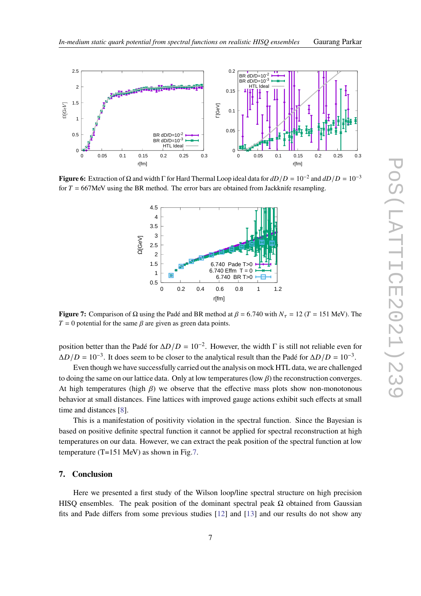<span id="page-6-0"></span>

<span id="page-6-1"></span>**Figure 6:** Extraction of Ω and width Γ for Hard Thermal Loop ideal data for  $dD/D = 10^{-2}$  and  $dD/D = 10^{-3}$ for  $T = 667$ MeV using the BR method. The error bars are obtained from Jackknife resampling.



**Figure 7:** Comparison of  $\Omega$  using the Padé and BR method at  $\beta = 6.740$  with  $N_{\tau} = 12$  ( $T = 151$  MeV). The  $T = 0$  potential for the same  $\beta$  are given as green data points.

position better than the Padé for  $\Delta D/D = 10^{-2}$ . However, the width  $\Gamma$  is still not reliable even for  $\Delta D/D = 10^{-3}$ . It does seem to be closer to the analytical result than the Padé for  $\Delta D/D = 10^{-3}$ .

Even though we have successfully carried out the analysis on mock HTL data, we are challenged to doing the same on our lattice data. Only at low temperatures (low  $\beta$ ) the reconstruction converges. At high temperatures (high  $\beta$ ) we observe that the effective mass plots show non-monotonous behavior at small distances. Fine lattices with improved gauge actions exhibit such effects at small time and distances [\[8\]](#page-8-1).

This is a manifestation of positivity violation in the spectral function. Since the Bayesian is based on positive definite spectral function it cannot be applied for spectral reconstruction at high temperatures on our data. However, we can extract the peak position of the spectral function at low temperature (T=151 MeV) as shown in Fig[.7.](#page-6-1)

#### **7. Conclusion**

Here we presented a first study of the Wilson loop/line spectral structure on high precision HISQ ensembles. The peak position of the dominant spectral peak  $\Omega$  obtained from Gaussian fits and Pade differs from some previous studies [\[12\]](#page-8-5) and [\[13\]](#page-8-6) and our results do not show any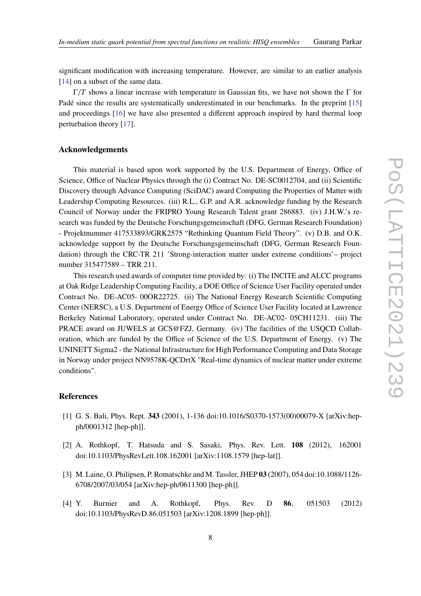significant modification with increasing temperature. However, are similar to an earlier analysis [\[14\]](#page-8-7) on a subset of the same data.

 $Γ/T$  shows a linear increase with temperature in Gaussian fits, we have not shown the Γ for Padé since the results are systematically underestimated in our benchmarks. In the preprint [\[15\]](#page-8-8) and proceedings [\[16\]](#page-8-9) we have also presented a different approach inspired by hard thermal loop perturbation theory [\[17\]](#page-8-10).

#### **Acknowledgements**

This material is based upon work supported by the U.S. Department of Energy, Office of Science, Office of Nuclear Physics through the (i) Contract No. DE-SC0012704, and (ii) Scientific Discovery through Advance Computing (SciDAC) award Computing the Properties of Matter with Leadership Computing Resources. (iii) R.L., G.P. and A.R. acknowledge funding by the Research Council of Norway under the FRIPRO Young Research Talent grant 286883. (iv) J.H.W.'s research was funded by the Deutsche Forschungsgemeinschaft (DFG, German Research Foundation) - Projektnummer 417533893/GRK2575 "Rethinking Quantum Field Theory". (v) D.B. and O.K. acknowledge support by the Deutsche Forschungsgemeinschaft (DFG, German Research Foundation) through the CRC-TR 211 'Strong-interaction matter under extreme conditions'– project number 315477589 – TRR 211.

This research used awards of computer time provided by: (i) The INCITE and ALCC programs at Oak Ridge Leadership Computing Facility, a DOE Office of Science User Facility operated under Contract No. DE-AC05- 00OR22725. (ii) The National Energy Research Scientific Computing Center (NERSC), a U.S. Department of Energy Office of Science User Facility located at Lawrence Berkeley National Laboratory, operated under Contract No. DE-AC02- 05CH11231. (iii) The PRACE award on JUWELS at GCS@FZJ, Germany. (iv) The facilities of the USQCD Collaboration, which are funded by the Office of Science of the U.S. Department of Energy. (v) The UNINETT Sigma2 - the National Infrastructure for High Performance Computing and Data Storage in Norway under project NN9578K-QCDrtX "Real-time dynamics of nuclear matter under extreme conditions".

# **References**

- <span id="page-7-0"></span>[1] G. S. Bali, Phys. Rept. **343** (2001), 1-136 doi:10.1016/S0370-1573(00)00079-X [arXiv:hepph/0001312 [hep-ph]].
- <span id="page-7-1"></span>[2] A. Rothkopf, T. Hatsuda and S. Sasaki, Phys. Rev. Lett. **108** (2012), 162001 doi:10.1103/PhysRevLett.108.162001 [arXiv:1108.1579 [hep-lat]].
- <span id="page-7-2"></span>[3] M. Laine, O. Philipsen, P. Romatschke and M. Tassler, JHEP **03** (2007), 054 doi:10.1088/1126- 6708/2007/03/054 [arXiv:hep-ph/0611300 [hep-ph]].
- <span id="page-7-3"></span>[4] Y. Burnier and A. Rothkopf, Phys. Rev. D **86**, 051503 (2012) doi:10.1103/PhysRevD.86.051503 [arXiv:1208.1899 [hep-ph]].